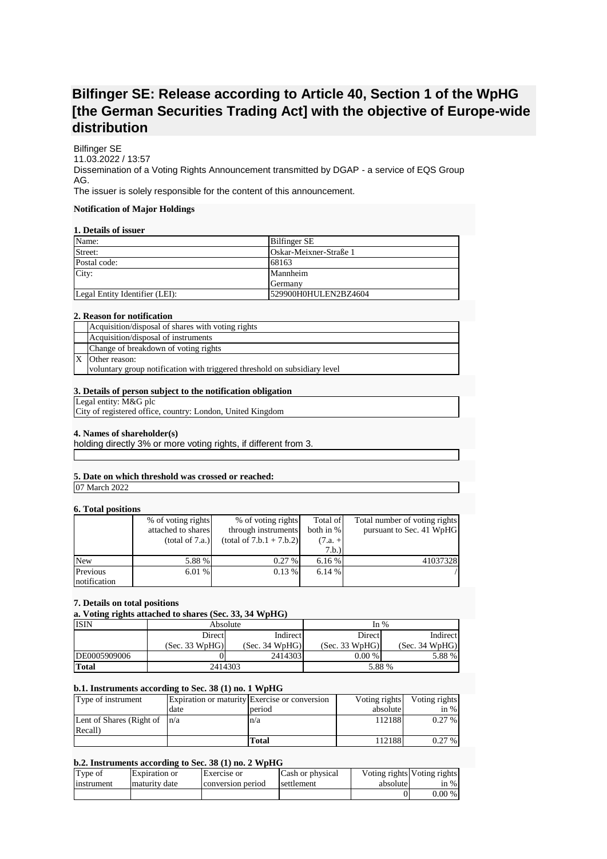# **Bilfinger SE: Release according to Article 40, Section 1 of the WpHG [the German Securities Trading Act] with the objective of Europe-wide distribution**

Bilfinger SE 11.03.2022 / 13:57 Dissemination of a Voting Rights Announcement transmitted by DGAP - a service of EQS Group AG. The issuer is solely responsible for the content of this announcement.

# **Notification of Major Holdings**

# **1. Details of issuer**

| Name:                          | <b>Bilfinger SE</b>    |
|--------------------------------|------------------------|
| Street:                        | Oskar-Meixner-Straße 1 |
| Postal code:                   | 68163                  |
| City:                          | Mannheim               |
|                                | <b>S</b> Cermany       |
| Legal Entity Identifier (LEI): | 529900H0HULEN2BZ4604   |

## **2. Reason for notification**

| Acquisition/disposal of shares with voting rights                         |
|---------------------------------------------------------------------------|
| Acquisition/disposal of instruments                                       |
| Change of breakdown of voting rights                                      |
| Other reason:                                                             |
| voluntary group notification with triggered threshold on subsidiary level |

# **3. Details of person subject to the notification obligation**

Legal entity: M&G plc

City of registered office, country: London, United Kingdom

## **4. Names of shareholder(s)**

holding directly 3% or more voting rights, if different from 3.

## **5. Date on which threshold was crossed or reached:**

07 March 2022

#### **6. Total positions**

|              | % of voting rights | % of voting rights         | Total of  | Total number of voting rights |
|--------------|--------------------|----------------------------|-----------|-------------------------------|
|              | attached to shares | through instruments        | both in % | pursuant to Sec. 41 WpHG      |
|              | (total of 7.a.)    | $(total of 7.b.1 + 7.b.2)$ | $(7.a. +$ |                               |
|              |                    |                            | 7.b.)     |                               |
| <b>New</b>   | 5.88 %             | 0.27%                      | 6.16%     | 41037328                      |
| Previous     | 6.01 %             | 0.13%                      | 6.14%     |                               |
| notification |                    |                            |           |                               |

#### **7. Details on total positions**

# **a. Voting rights attached to shares (Sec. 33, 34 WpHG)**

| <b>ISIN</b>  | Absolute           |                | In $%$             |                |
|--------------|--------------------|----------------|--------------------|----------------|
|              | Indirect<br>Direct |                | Indirect<br>Direct |                |
|              | (Sec. 33 WpHG)     | (Sec. 34 WpHG) | (Sec. 33 WpHG)     | (Sec. 34 WpHG) |
| DE0005909006 |                    | 2414303        | $0.00\%$           | 5.88 %         |
| <b>Total</b> | 2414303            |                | 5.88 %             |                |

## **b.1. Instruments according to Sec. 38 (1) no. 1 WpHG**

| Type of instrument               |      | Expiration or maturity Exercise or conversion | Voting rights | Voting rights |
|----------------------------------|------|-----------------------------------------------|---------------|---------------|
|                                  | date | period                                        | absolute      | in $%$        |
| Lent of Shares (Right of $ n/a $ |      | n/a                                           | 112188        | $0.27\%$      |
| Recall)                          |      |                                               |               |               |
|                                  |      | Total                                         | 1121881       | $0.27\%$      |

## **b.2. Instruments according to Sec. 38 (1) no. 2 WpHG**

| Type of    | Expiration or | Exercise or       | Cash or physical | absolute | Voting rights Voting rights |
|------------|---------------|-------------------|------------------|----------|-----------------------------|
| instrument | maturity date | conversion period | settlement       |          | in $%$                      |
|            |               |                   |                  |          | $0.00\%$                    |